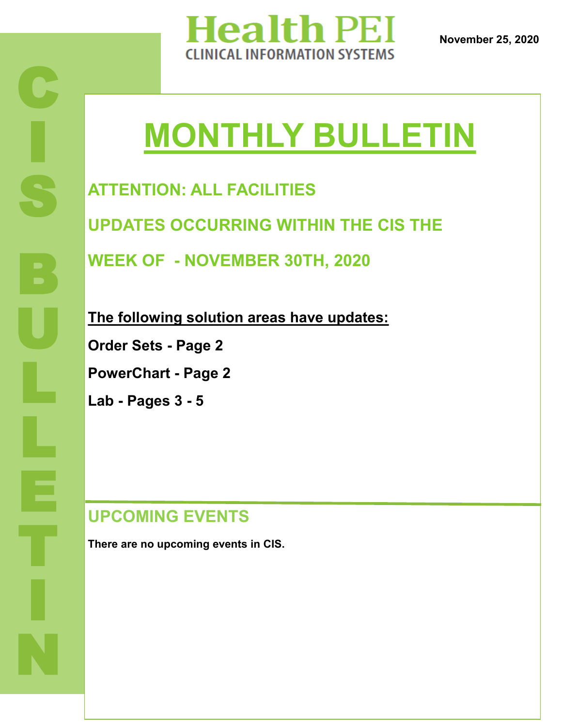

# **MONTHLY BULLETIN**

**ATTENTION: ALL FACILITIES UPDATES OCCURRING WITHIN THE CIS THE WEEK OF - NOVEMBER 30TH, 2020**

**The following solution areas have updates:**

**Order Sets - Page 2**

**PowerChart - Page 2**

**Lab - Pages 3 - 5**

#### **UPCOMING EVENTS**

**There are no upcoming events in CIS.**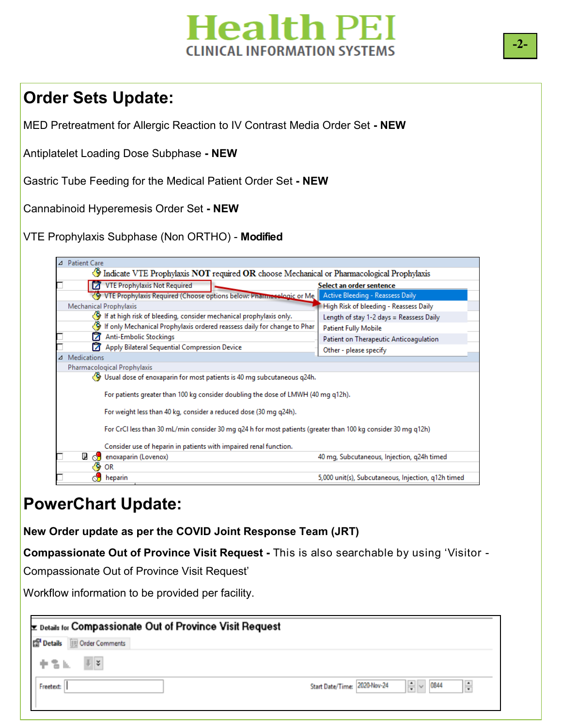### **Jealth PEI** INICAL INFORMATION SYSTEMS

#### **Order Sets Update:**

MED Pretreatment for Allergic Reaction to IV Contrast Media Order Set **- NEW**

Antiplatelet Loading Dose Subphase **- NEW**

Gastric Tube Feeding for the Medical Patient Order Set **- NEW**

Cannabinoid Hyperemesis Order Set **- NEW**

VTE Prophylaxis Subphase (Non ORTHO) - **Modified** 



#### **PowerChart Update:**

**New Order update as per the COVID Joint Response Team (JRT)**

**Compassionate Out of Province Visit Request -** This is also searchable by using 'Visitor -

Compassionate Out of Province Visit Request'

Workflow information to be provided per facility.

| <b>Ex Details for Compassionate Out of Province Visit Request</b> |                                                                            |
|-------------------------------------------------------------------|----------------------------------------------------------------------------|
| <b>En Details</b><br>Order Comments                               |                                                                            |
| 中舌瓜<br>$\parallel$ $\frac{1}{2}$                                  |                                                                            |
| Freetext:                                                         | $\frac{1}{2}$ $\vee$ 0844<br>$\frac{1}{x}$<br>Start Date/Time: 2020-Nov-24 |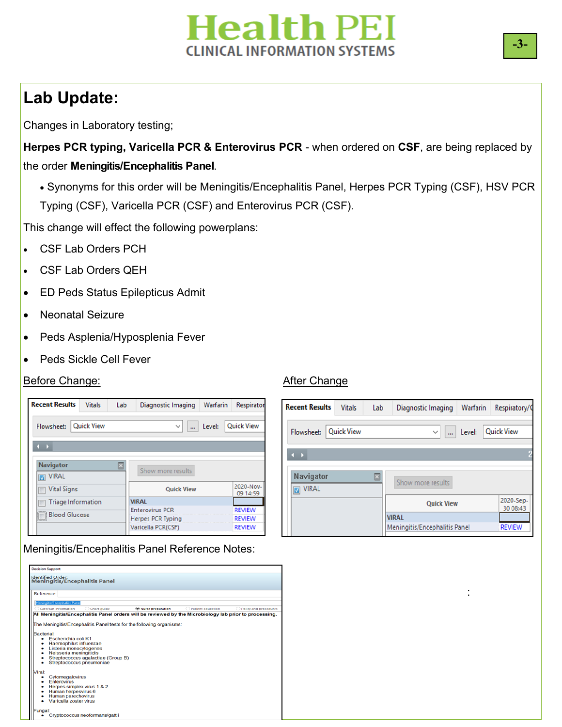## **Health PEI CLINICAL INFORMATION SYSTEMS**

### **Lab Update:**

Changes in Laboratory testing;

**Herpes PCR typing, Varicella PCR & Enterovirus PCR** - when ordered on **CSF**, are being replaced by the order **Meningitis/Encephalitis Panel**.

 Synonyms for this order will be Meningitis/Encephalitis Panel, Herpes PCR Typing (CSF), HSV PCR Typing (CSF), Varicella PCR (CSF) and Enterovirus PCR (CSF).

This change will effect the following powerplans:

- CSF Lab Orders PCH
- CSF Lab Orders QEH
- ED Peds Status Epilepticus Admit
- Neonatal Seizure
- Peds Asplenia/Hyposplenia Fever
- Peds Sickle Cell Fever

#### Before Change: The Change Change Change Change Change Change

| <b>Recent Results</b>                              | <b>Vitals</b>     | Lab | Diagnostic Imaging                                                       | Warfarin | Respirator                                      |
|----------------------------------------------------|-------------------|-----|--------------------------------------------------------------------------|----------|-------------------------------------------------|
| Flowsheet:                                         | <b>Quick View</b> |     | $\checkmark$<br>                                                         | Level:   | <b>Ouick View</b>                               |
| - 1                                                |                   |     |                                                                          |          |                                                 |
| <b>Navigator</b><br><b>VIRAL</b><br>$\blacksquare$ |                   | ⊡   | Show more results                                                        |          |                                                 |
| <b>Vital Signs</b>                                 |                   |     | <b>Quick View</b>                                                        |          | 2020-Nov-<br>09 14:59                           |
| <b>Triage Information</b>                          |                   |     | <b>VIRAL</b>                                                             |          |                                                 |
| <b>Blood Glucose</b><br>$\Box$                     |                   |     | <b>Enterovirus PCR</b><br><b>Herpes PCR Typing</b><br>Varicella PCR(CSF) |          | <b>REVIEW</b><br><b>REVIEW</b><br><b>REVIEW</b> |

Meningitis/Encephalitis Panel Reference Notes:



| <b>Recent Results</b>                    | <b>Vitals</b>     | Lab | Diagnostic Imaging            | Warfarin | Respiratory/C         |
|------------------------------------------|-------------------|-----|-------------------------------|----------|-----------------------|
| Flowsheet:                               | <b>Quick View</b> |     | $\checkmark$<br>m.            | Level:   | <b>Quick View</b>     |
| $\rightarrow$                            |                   |     |                               |          |                       |
| Navigator<br><b>VIRAL</b><br>$\boxed{2}$ |                   | ⊠   | Show more results             |          |                       |
|                                          |                   |     | <b>Quick View</b>             |          | 2020-Sep-<br>30 08:43 |
|                                          |                   |     | <b>VIRAL</b>                  |          |                       |
|                                          |                   |     | Meningitis/Encephalitis Panel |          | <b>REVIEW</b>         |

: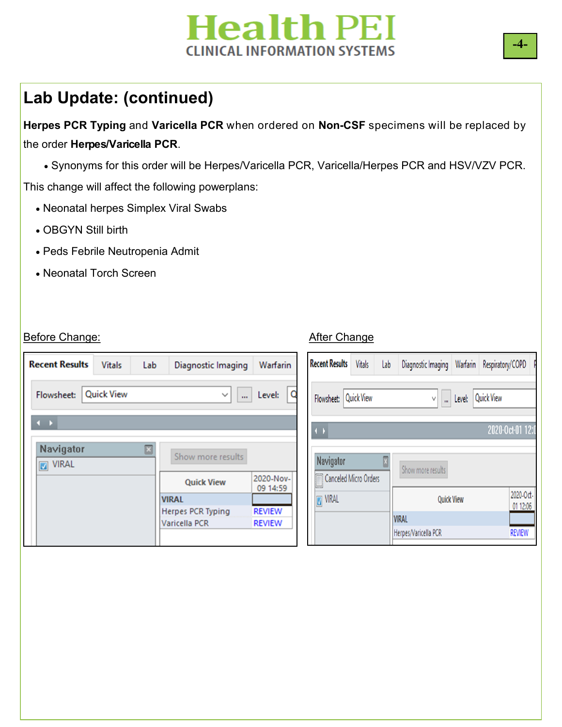## **Health PEI CLINICAL INFORMATION SYSTEMS**

#### **Lab Update: (continued)**

**Herpes PCR Typing** and **Varicella PCR** when ordered on **Non-CSF** specimens will be replaced by the order **Herpes/Varicella PCR**.

Synonyms for this order will be Herpes/Varicella PCR, Varicella/Herpes PCR and HSV/VZV PCR.

This change will affect the following powerplans:

- Neonatal herpes Simplex Viral Swabs
- OBGYN Still birth
- Peds Febrile Neutropenia Admit
- Neonatal Torch Screen

#### Before Change: **After Change** Before Change

| <b>Recent Results</b>       | <b>Vitals</b>     | Lab | Diagnostic Imaging       | Warfarin              |
|-----------------------------|-------------------|-----|--------------------------|-----------------------|
| Flowsheet:                  | <b>Quick View</b> |     | m.<br>$\checkmark$       | Level:                |
| œ                           |                   |     |                          |                       |
| Navigator<br><b>7</b> VIRAL |                   |     | Show more results        |                       |
|                             |                   |     | <b>Quick View</b>        | 2020-Nov-<br>09 14:59 |
|                             |                   |     | <b>VIRAL</b>             |                       |
|                             |                   |     | <b>Herpes PCR Typing</b> | <b>REVIEW</b>         |
|                             |                   |     | Varicella PCR            | <b>REVIEW</b>         |
|                             |                   |     |                          |                       |

| <b>Recent Results</b>              | <b>Vitals</b>     | Lab | Diagnostic Imaging                   | Warfarin          | Respiratory/COPD  | p                     |
|------------------------------------|-------------------|-----|--------------------------------------|-------------------|-------------------|-----------------------|
| Flowsheet:                         | <b>Quick View</b> |     | ٧                                    | Level:<br>m       | <b>Quick View</b> |                       |
| $\left( \ \right)$                 |                   |     |                                      |                   |                   | 2020-Oct-01 12:0      |
| Navigator<br>Canceled Micro Orders |                   | M   | Show more results                    |                   |                   |                       |
| <b>M</b> VIRAL                     |                   |     |                                      | <b>Quick View</b> |                   | 2020-Oct-<br>01 12:06 |
|                                    |                   |     | <b>VIRAL</b><br>Herpes/Varicella PCR |                   |                   | <b>REVIEW</b>         |